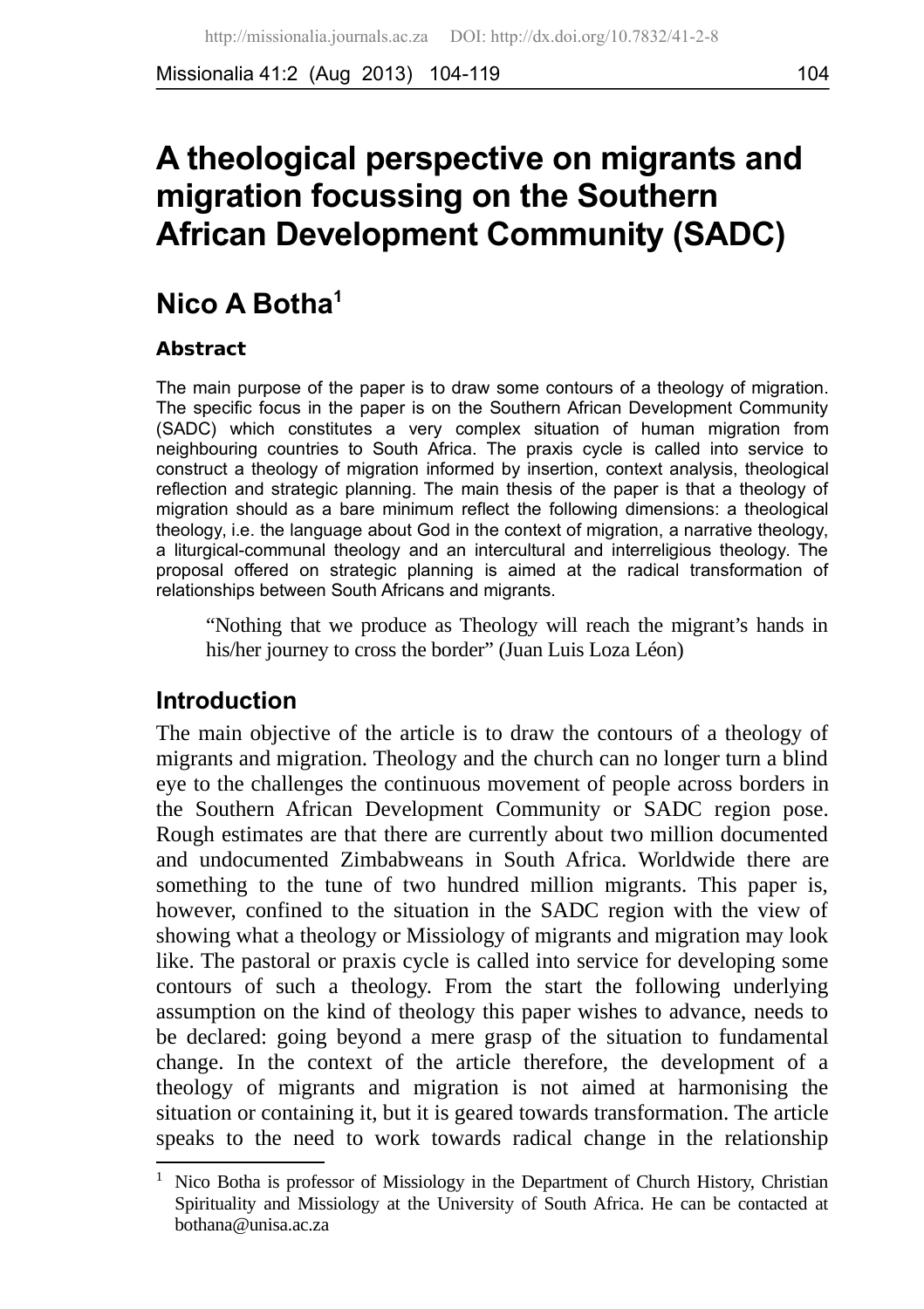Missionalia 41:2 (Aug 2013) 104-119 104

# **A theological perspective on migrants and migration focussing on the Southern African Development Community (SADC)**

# **Nico A Botha[1](#page-0-0)**

#### **Abstract**

The main purpose of the paper is to draw some contours of a theology of migration. The specific focus in the paper is on the Southern African Development Community (SADC) which constitutes a very complex situation of human migration from neighbouring countries to South Africa. The praxis cycle is called into service to construct a theology of migration informed by insertion, context analysis, theological reflection and strategic planning. The main thesis of the paper is that a theology of migration should as a bare minimum reflect the following dimensions: a theological theology, i.e. the language about God in the context of migration, a narrative theology, a liturgical-communal theology and an intercultural and interreligious theology. The proposal offered on strategic planning is aimed at the radical transformation of relationships between South Africans and migrants.

"Nothing that we produce as Theology will reach the migrant's hands in his/her journey to cross the border" (Juan Luis Loza Léon)

# **Introduction**

The main objective of the article is to draw the contours of a theology of migrants and migration. Theology and the church can no longer turn a blind eye to the challenges the continuous movement of people across borders in the Southern African Development Community or SADC region pose. Rough estimates are that there are currently about two million documented and undocumented Zimbabweans in South Africa. Worldwide there are something to the tune of two hundred million migrants. This paper is, however, confined to the situation in the SADC region with the view of showing what a theology or Missiology of migrants and migration may look like. The pastoral or praxis cycle is called into service for developing some contours of such a theology. From the start the following underlying assumption on the kind of theology this paper wishes to advance, needs to be declared: going beyond a mere grasp of the situation to fundamental change. In the context of the article therefore, the development of a theology of migrants and migration is not aimed at harmonising the situation or containing it, but it is geared towards transformation. The article speaks to the need to work towards radical change in the relationship

<span id="page-0-0"></span> $1$  Nico Botha is professor of Missiology in the Department of Church History, Christian Spirituality and Missiology at the University of South Africa. He can be contacted at bothana@unisa.ac.za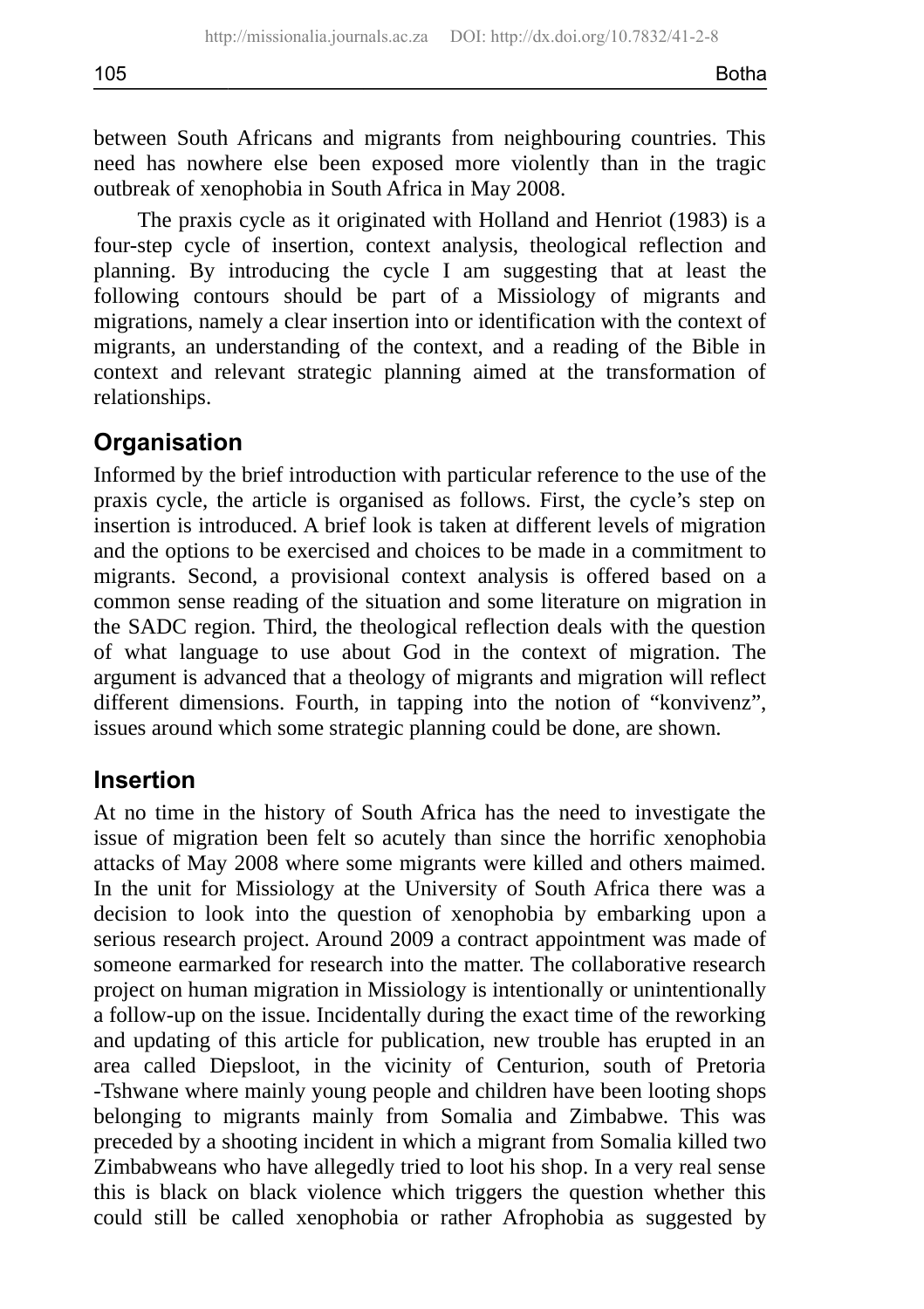between South Africans and migrants from neighbouring countries. This need has nowhere else been exposed more violently than in the tragic outbreak of xenophobia in South Africa in May 2008.

The praxis cycle as it originated with Holland and Henriot (1983) is a four-step cycle of insertion, context analysis, theological reflection and planning. By introducing the cycle I am suggesting that at least the following contours should be part of a Missiology of migrants and migrations, namely a clear insertion into or identification with the context of migrants, an understanding of the context, and a reading of the Bible in context and relevant strategic planning aimed at the transformation of relationships.

# **Organisation**

Informed by the brief introduction with particular reference to the use of the praxis cycle, the article is organised as follows. First, the cycle's step on insertion is introduced. A brief look is taken at different levels of migration and the options to be exercised and choices to be made in a commitment to migrants. Second, a provisional context analysis is offered based on a common sense reading of the situation and some literature on migration in the SADC region. Third, the theological reflection deals with the question of what language to use about God in the context of migration. The argument is advanced that a theology of migrants and migration will reflect different dimensions. Fourth, in tapping into the notion of "konvivenz", issues around which some strategic planning could be done, are shown.

## **Insertion**

At no time in the history of South Africa has the need to investigate the issue of migration been felt so acutely than since the horrific xenophobia attacks of May 2008 where some migrants were killed and others maimed. In the unit for Missiology at the University of South Africa there was a decision to look into the question of xenophobia by embarking upon a serious research project. Around 2009 a contract appointment was made of someone earmarked for research into the matter. The collaborative research project on human migration in Missiology is intentionally or unintentionally a follow-up on the issue. Incidentally during the exact time of the reworking and updating of this article for publication, new trouble has erupted in an area called Diepsloot, in the vicinity of Centurion, south of Pretoria -Tshwane where mainly young people and children have been looting shops belonging to migrants mainly from Somalia and Zimbabwe. This was preceded by a shooting incident in which a migrant from Somalia killed two Zimbabweans who have allegedly tried to loot his shop. In a very real sense this is black on black violence which triggers the question whether this could still be called xenophobia or rather Afrophobia as suggested by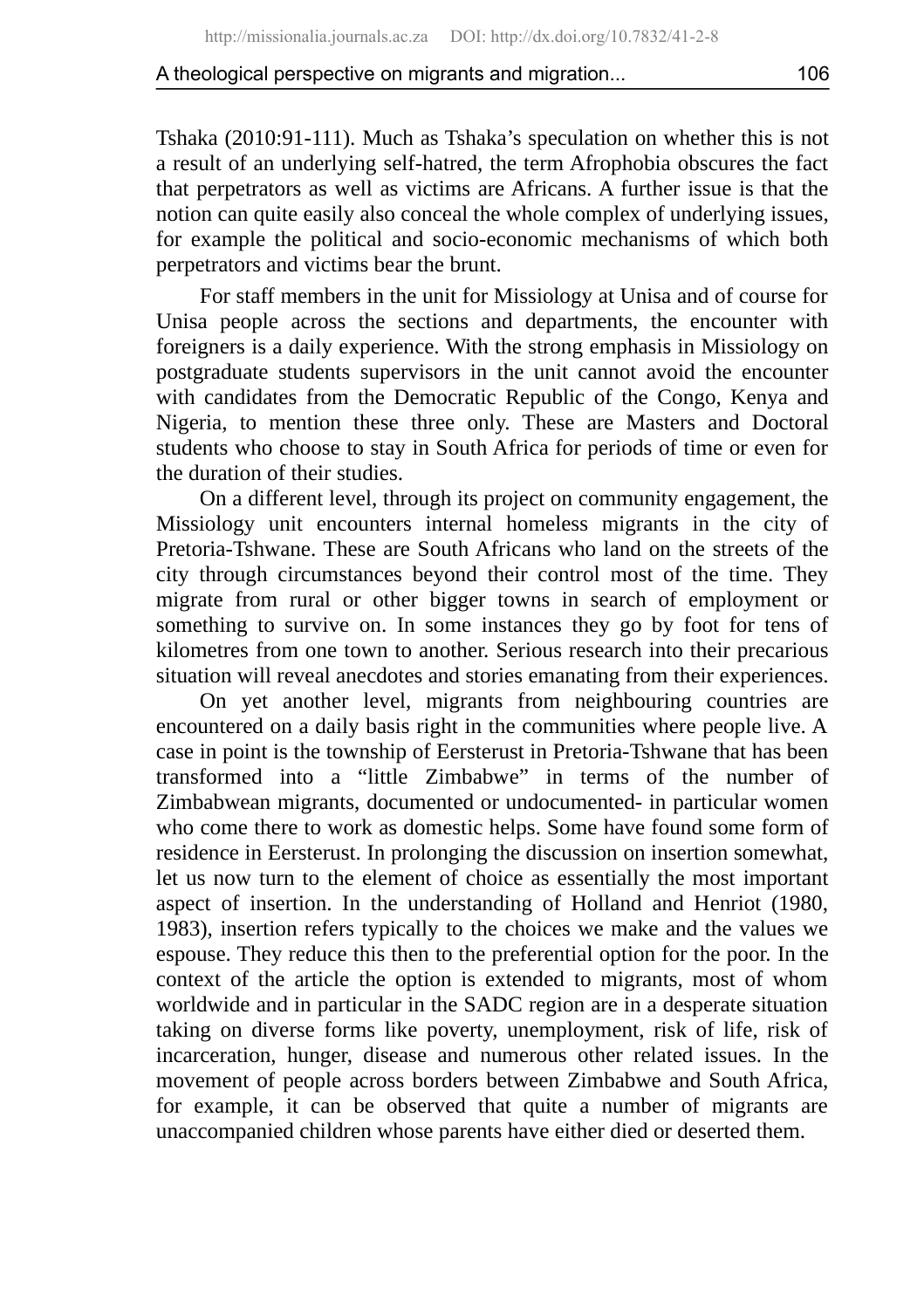Tshaka (2010:91-111). Much as Tshaka's speculation on whether this is not a result of an underlying self-hatred, the term Afrophobia obscures the fact that perpetrators as well as victims are Africans. A further issue is that the notion can quite easily also conceal the whole complex of underlying issues, for example the political and socio-economic mechanisms of which both perpetrators and victims bear the brunt.

For staff members in the unit for Missiology at Unisa and of course for Unisa people across the sections and departments, the encounter with foreigners is a daily experience. With the strong emphasis in Missiology on postgraduate students supervisors in the unit cannot avoid the encounter with candidates from the Democratic Republic of the Congo, Kenya and Nigeria, to mention these three only. These are Masters and Doctoral students who choose to stay in South Africa for periods of time or even for the duration of their studies.

On a different level, through its project on community engagement, the Missiology unit encounters internal homeless migrants in the city of Pretoria-Tshwane. These are South Africans who land on the streets of the city through circumstances beyond their control most of the time. They migrate from rural or other bigger towns in search of employment or something to survive on. In some instances they go by foot for tens of kilometres from one town to another. Serious research into their precarious situation will reveal anecdotes and stories emanating from their experiences.

On yet another level, migrants from neighbouring countries are encountered on a daily basis right in the communities where people live. A case in point is the township of Eersterust in Pretoria-Tshwane that has been transformed into a "little Zimbabwe" in terms of the number of Zimbabwean migrants, documented or undocumented- in particular women who come there to work as domestic helps. Some have found some form of residence in Eersterust. In prolonging the discussion on insertion somewhat, let us now turn to the element of choice as essentially the most important aspect of insertion. In the understanding of Holland and Henriot (1980, 1983), insertion refers typically to the choices we make and the values we espouse. They reduce this then to the preferential option for the poor. In the context of the article the option is extended to migrants, most of whom worldwide and in particular in the SADC region are in a desperate situation taking on diverse forms like poverty, unemployment, risk of life, risk of incarceration, hunger, disease and numerous other related issues. In the movement of people across borders between Zimbabwe and South Africa, for example, it can be observed that quite a number of migrants are unaccompanied children whose parents have either died or deserted them.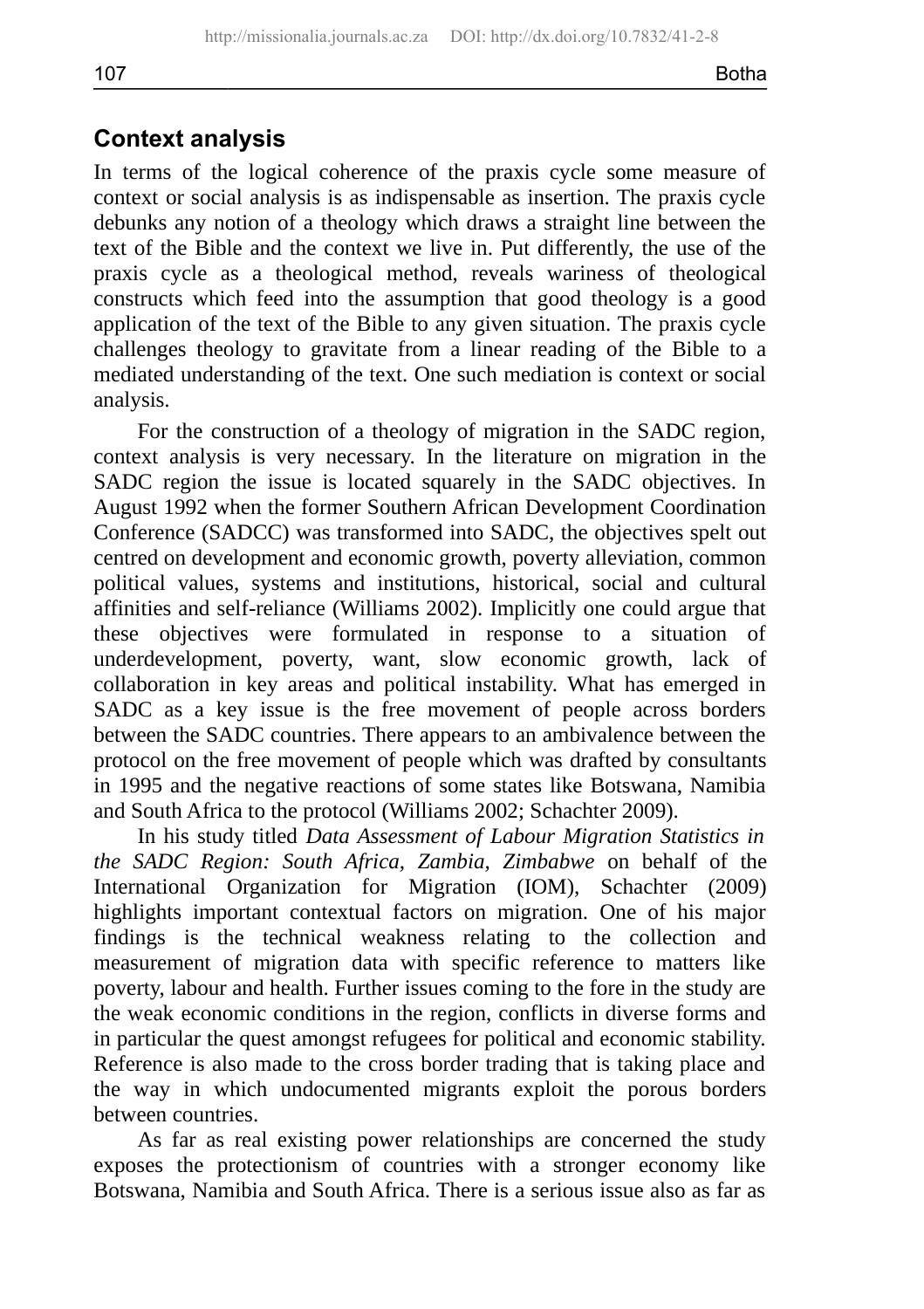# **Context analysis**

In terms of the logical coherence of the praxis cycle some measure of context or social analysis is as indispensable as insertion. The praxis cycle debunks any notion of a theology which draws a straight line between the text of the Bible and the context we live in. Put differently, the use of the praxis cycle as a theological method, reveals wariness of theological constructs which feed into the assumption that good theology is a good application of the text of the Bible to any given situation. The praxis cycle challenges theology to gravitate from a linear reading of the Bible to a mediated understanding of the text. One such mediation is context or social analysis.

For the construction of a theology of migration in the SADC region, context analysis is very necessary. In the literature on migration in the SADC region the issue is located squarely in the SADC objectives. In August 1992 when the former Southern African Development Coordination Conference (SADCC) was transformed into SADC, the objectives spelt out centred on development and economic growth, poverty alleviation, common political values, systems and institutions, historical, social and cultural affinities and self-reliance (Williams 2002). Implicitly one could argue that these objectives were formulated in response to a situation of underdevelopment, poverty, want, slow economic growth, lack of collaboration in key areas and political instability. What has emerged in SADC as a key issue is the free movement of people across borders between the SADC countries. There appears to an ambivalence between the protocol on the free movement of people which was drafted by consultants in 1995 and the negative reactions of some states like Botswana, Namibia and South Africa to the protocol (Williams 2002; Schachter 2009).

In his study titled *Data Assessment of Labour Migration Statistics in the SADC Region: South Africa, Zambia, Zimbabwe* on behalf of the International Organization for Migration (IOM), Schachter (2009) highlights important contextual factors on migration. One of his major findings is the technical weakness relating to the collection and measurement of migration data with specific reference to matters like poverty, labour and health. Further issues coming to the fore in the study are the weak economic conditions in the region, conflicts in diverse forms and in particular the quest amongst refugees for political and economic stability. Reference is also made to the cross border trading that is taking place and the way in which undocumented migrants exploit the porous borders between countries.

As far as real existing power relationships are concerned the study exposes the protectionism of countries with a stronger economy like Botswana, Namibia and South Africa. There is a serious issue also as far as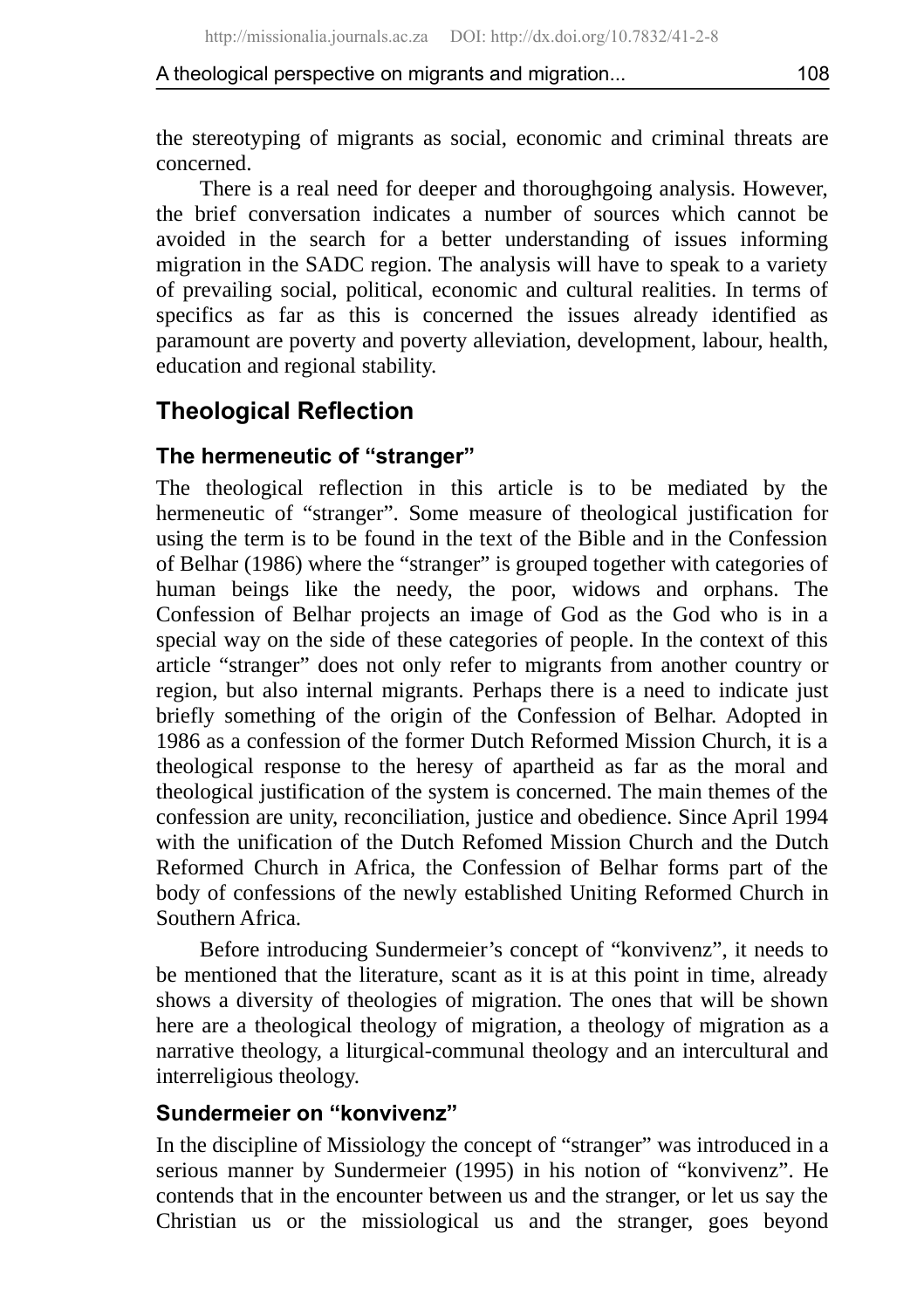the stereotyping of migrants as social, economic and criminal threats are concerned.

There is a real need for deeper and thoroughgoing analysis. However, the brief conversation indicates a number of sources which cannot be avoided in the search for a better understanding of issues informing migration in the SADC region. The analysis will have to speak to a variety of prevailing social, political, economic and cultural realities. In terms of specifics as far as this is concerned the issues already identified as paramount are poverty and poverty alleviation, development, labour, health, education and regional stability.

# **Theological Reflection**

# **The hermeneutic of "stranger"**

The theological reflection in this article is to be mediated by the hermeneutic of "stranger". Some measure of theological justification for using the term is to be found in the text of the Bible and in the Confession of Belhar (1986) where the "stranger" is grouped together with categories of human beings like the needy, the poor, widows and orphans. The Confession of Belhar projects an image of God as the God who is in a special way on the side of these categories of people. In the context of this article "stranger" does not only refer to migrants from another country or region, but also internal migrants. Perhaps there is a need to indicate just briefly something of the origin of the Confession of Belhar. Adopted in 1986 as a confession of the former Dutch Reformed Mission Church, it is a theological response to the heresy of apartheid as far as the moral and theological justification of the system is concerned. The main themes of the confession are unity, reconciliation, justice and obedience. Since April 1994 with the unification of the Dutch Refomed Mission Church and the Dutch Reformed Church in Africa, the Confession of Belhar forms part of the body of confessions of the newly established Uniting Reformed Church in Southern Africa.

Before introducing Sundermeier's concept of "konvivenz", it needs to be mentioned that the literature, scant as it is at this point in time, already shows a diversity of theologies of migration. The ones that will be shown here are a theological theology of migration, a theology of migration as a narrative theology, a liturgical-communal theology and an intercultural and interreligious theology.

## **Sundermeier on "konvivenz"**

In the discipline of Missiology the concept of "stranger" was introduced in a serious manner by Sundermeier (1995) in his notion of "konvivenz". He contends that in the encounter between us and the stranger, or let us say the Christian us or the missiological us and the stranger, goes beyond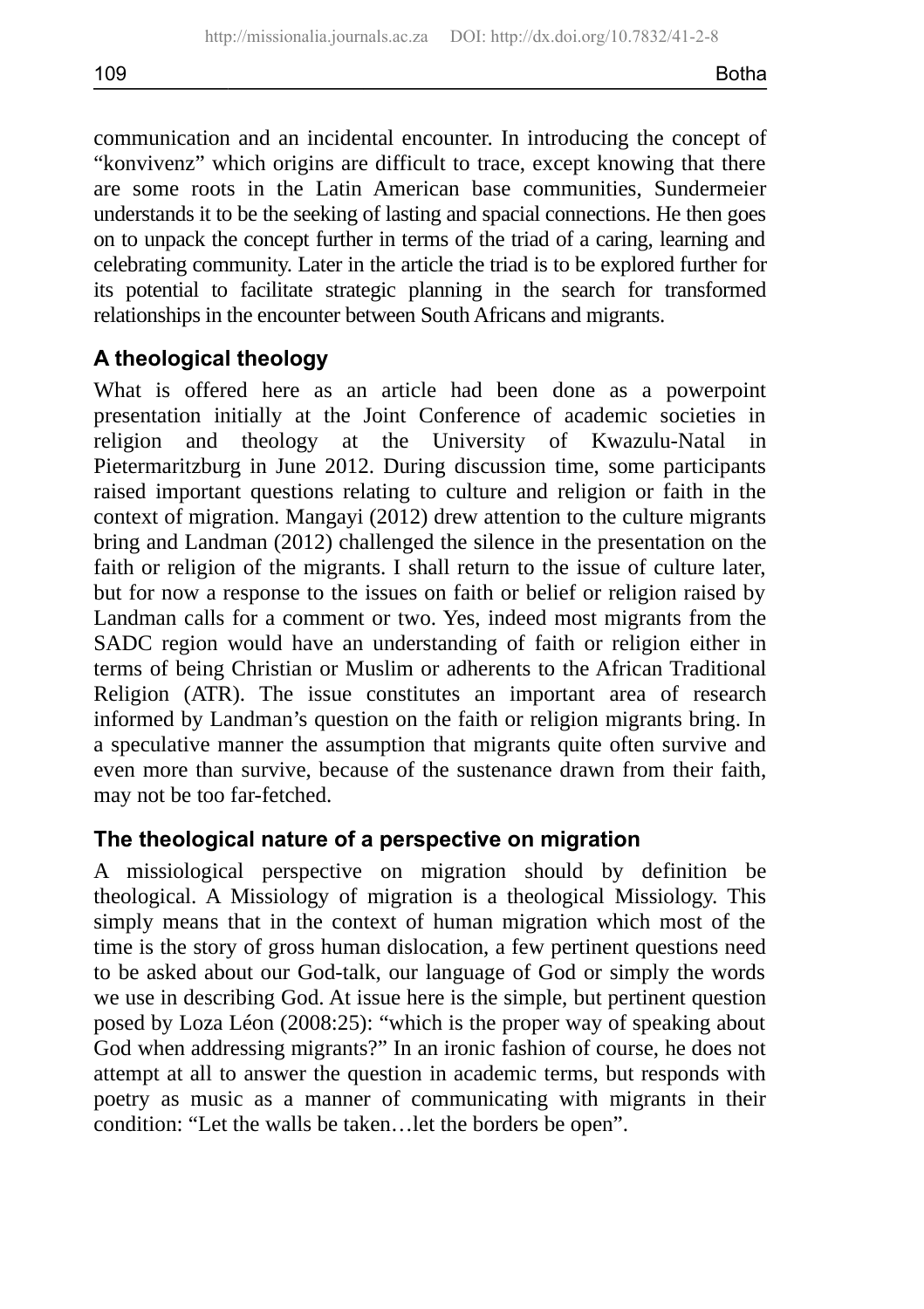communication and an incidental encounter. In introducing the concept of "konvivenz" which origins are difficult to trace, except knowing that there are some roots in the Latin American base communities, Sundermeier understands it to be the seeking of lasting and spacial connections. He then goes on to unpack the concept further in terms of the triad of a caring, learning and celebrating community. Later in the article the triad is to be explored further for its potential to facilitate strategic planning in the search for transformed relationships in the encounter between South Africans and migrants.

### **A theological theology**

What is offered here as an article had been done as a powerpoint presentation initially at the Joint Conference of academic societies in religion and theology at the University of Kwazulu-Natal in Pietermaritzburg in June 2012. During discussion time, some participants raised important questions relating to culture and religion or faith in the context of migration. Mangayi (2012) drew attention to the culture migrants bring and Landman (2012) challenged the silence in the presentation on the faith or religion of the migrants. I shall return to the issue of culture later, but for now a response to the issues on faith or belief or religion raised by Landman calls for a comment or two. Yes, indeed most migrants from the SADC region would have an understanding of faith or religion either in terms of being Christian or Muslim or adherents to the African Traditional Religion (ATR). The issue constitutes an important area of research informed by Landman's question on the faith or religion migrants bring. In a speculative manner the assumption that migrants quite often survive and even more than survive, because of the sustenance drawn from their faith, may not be too far-fetched.

#### **The theological nature of a perspective on migration**

A missiological perspective on migration should by definition be theological. A Missiology of migration is a theological Missiology. This simply means that in the context of human migration which most of the time is the story of gross human dislocation, a few pertinent questions need to be asked about our God-talk, our language of God or simply the words we use in describing God. At issue here is the simple, but pertinent question posed by Loza Léon (2008:25): "which is the proper way of speaking about God when addressing migrants?" In an ironic fashion of course, he does not attempt at all to answer the question in academic terms, but responds with poetry as music as a manner of communicating with migrants in their condition: "Let the walls be taken…let the borders be open".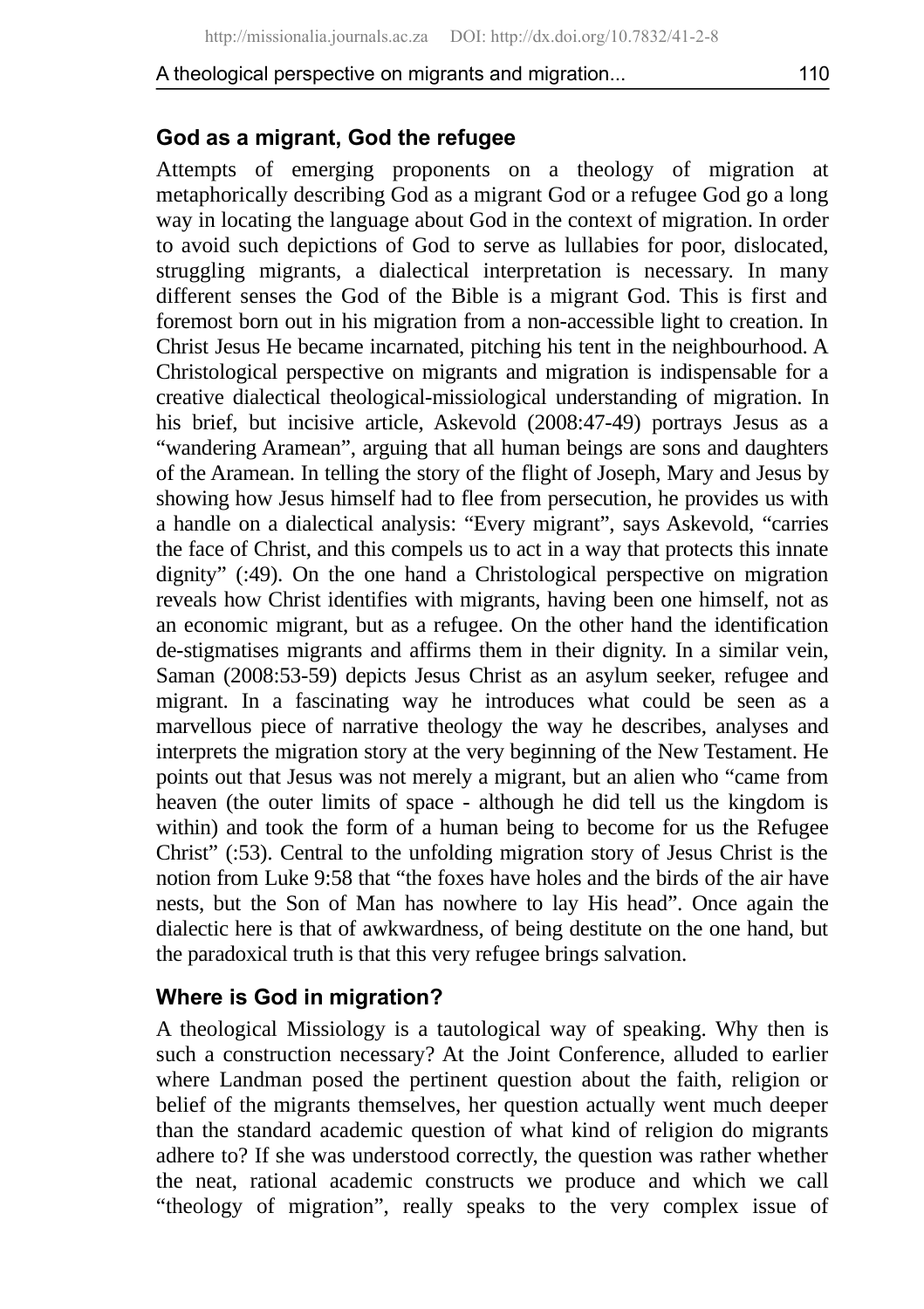#### **God as a migrant, God the refugee**

Attempts of emerging proponents on a theology of migration at metaphorically describing God as a migrant God or a refugee God go a long way in locating the language about God in the context of migration. In order to avoid such depictions of God to serve as lullabies for poor, dislocated, struggling migrants, a dialectical interpretation is necessary. In many different senses the God of the Bible is a migrant God. This is first and foremost born out in his migration from a non-accessible light to creation. In Christ Jesus He became incarnated, pitching his tent in the neighbourhood. A Christological perspective on migrants and migration is indispensable for a creative dialectical theological-missiological understanding of migration. In his brief, but incisive article, Askevold (2008:47-49) portrays Jesus as a "wandering Aramean", arguing that all human beings are sons and daughters of the Aramean. In telling the story of the flight of Joseph, Mary and Jesus by showing how Jesus himself had to flee from persecution, he provides us with a handle on a dialectical analysis: "Every migrant", says Askevold, "carries the face of Christ, and this compels us to act in a way that protects this innate dignity" (:49). On the one hand a Christological perspective on migration reveals how Christ identifies with migrants, having been one himself, not as an economic migrant, but as a refugee. On the other hand the identification de-stigmatises migrants and affirms them in their dignity. In a similar vein, Saman (2008:53-59) depicts Jesus Christ as an asylum seeker, refugee and migrant. In a fascinating way he introduces what could be seen as a marvellous piece of narrative theology the way he describes, analyses and interprets the migration story at the very beginning of the New Testament. He points out that Jesus was not merely a migrant, but an alien who "came from heaven (the outer limits of space - although he did tell us the kingdom is within) and took the form of a human being to become for us the Refugee Christ" (:53). Central to the unfolding migration story of Jesus Christ is the notion from Luke 9:58 that "the foxes have holes and the birds of the air have nests, but the Son of Man has nowhere to lay His head". Once again the dialectic here is that of awkwardness, of being destitute on the one hand, but the paradoxical truth is that this very refugee brings salvation.

#### **Where is God in migration?**

A theological Missiology is a tautological way of speaking. Why then is such a construction necessary? At the Joint Conference, alluded to earlier where Landman posed the pertinent question about the faith, religion or belief of the migrants themselves, her question actually went much deeper than the standard academic question of what kind of religion do migrants adhere to? If she was understood correctly, the question was rather whether the neat, rational academic constructs we produce and which we call "theology of migration", really speaks to the very complex issue of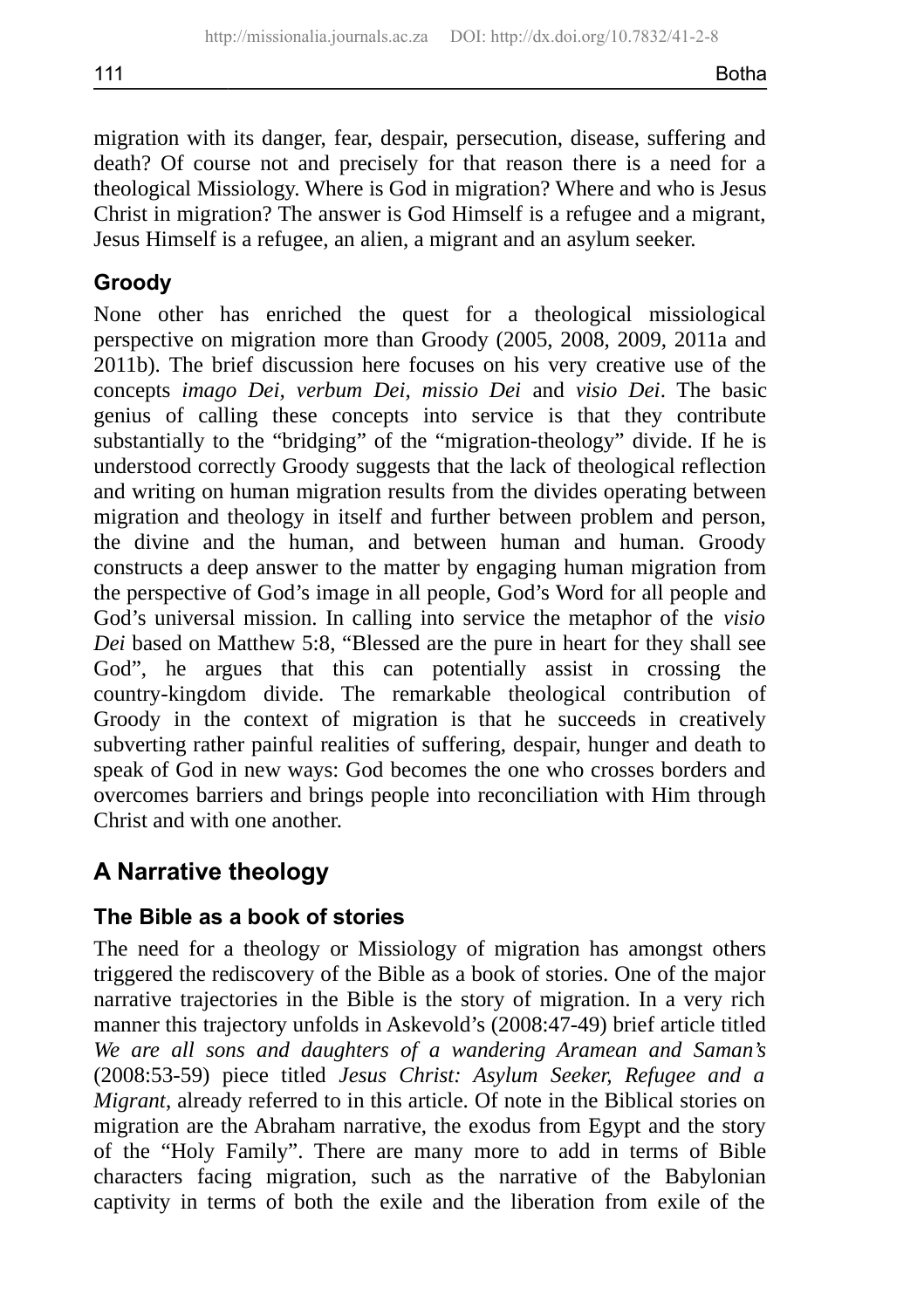migration with its danger, fear, despair, persecution, disease, suffering and death? Of course not and precisely for that reason there is a need for a theological Missiology. Where is God in migration? Where and who is Jesus Christ in migration? The answer is God Himself is a refugee and a migrant, Jesus Himself is a refugee, an alien, a migrant and an asylum seeker.

# **Groody**

None other has enriched the quest for a theological missiological perspective on migration more than Groody (2005, 2008, 2009, 2011a and 2011b). The brief discussion here focuses on his very creative use of the concepts *imago Dei, verbum Dei, missio Dei* and *visio Dei*. The basic genius of calling these concepts into service is that they contribute substantially to the "bridging" of the "migration-theology" divide. If he is understood correctly Groody suggests that the lack of theological reflection and writing on human migration results from the divides operating between migration and theology in itself and further between problem and person, the divine and the human, and between human and human. Groody constructs a deep answer to the matter by engaging human migration from the perspective of God's image in all people, God's Word for all people and God's universal mission. In calling into service the metaphor of the *visio Dei* based on Matthew 5:8, "Blessed are the pure in heart for they shall see God", he argues that this can potentially assist in crossing the country-kingdom divide. The remarkable theological contribution of Groody in the context of migration is that he succeeds in creatively subverting rather painful realities of suffering, despair, hunger and death to speak of God in new ways: God becomes the one who crosses borders and overcomes barriers and brings people into reconciliation with Him through Christ and with one another.

# **A Narrative theology**

# **The Bible as a book of stories**

The need for a theology or Missiology of migration has amongst others triggered the rediscovery of the Bible as a book of stories. One of the major narrative trajectories in the Bible is the story of migration. In a very rich manner this trajectory unfolds in Askevold's (2008:47-49) brief article titled *We are all sons and daughters of a wandering Aramean and Saman's* (2008:53-59) piece titled *Jesus Christ: Asylum Seeker, Refugee and a Migrant*, already referred to in this article. Of note in the Biblical stories on migration are the Abraham narrative, the exodus from Egypt and the story of the "Holy Family". There are many more to add in terms of Bible characters facing migration, such as the narrative of the Babylonian captivity in terms of both the exile and the liberation from exile of the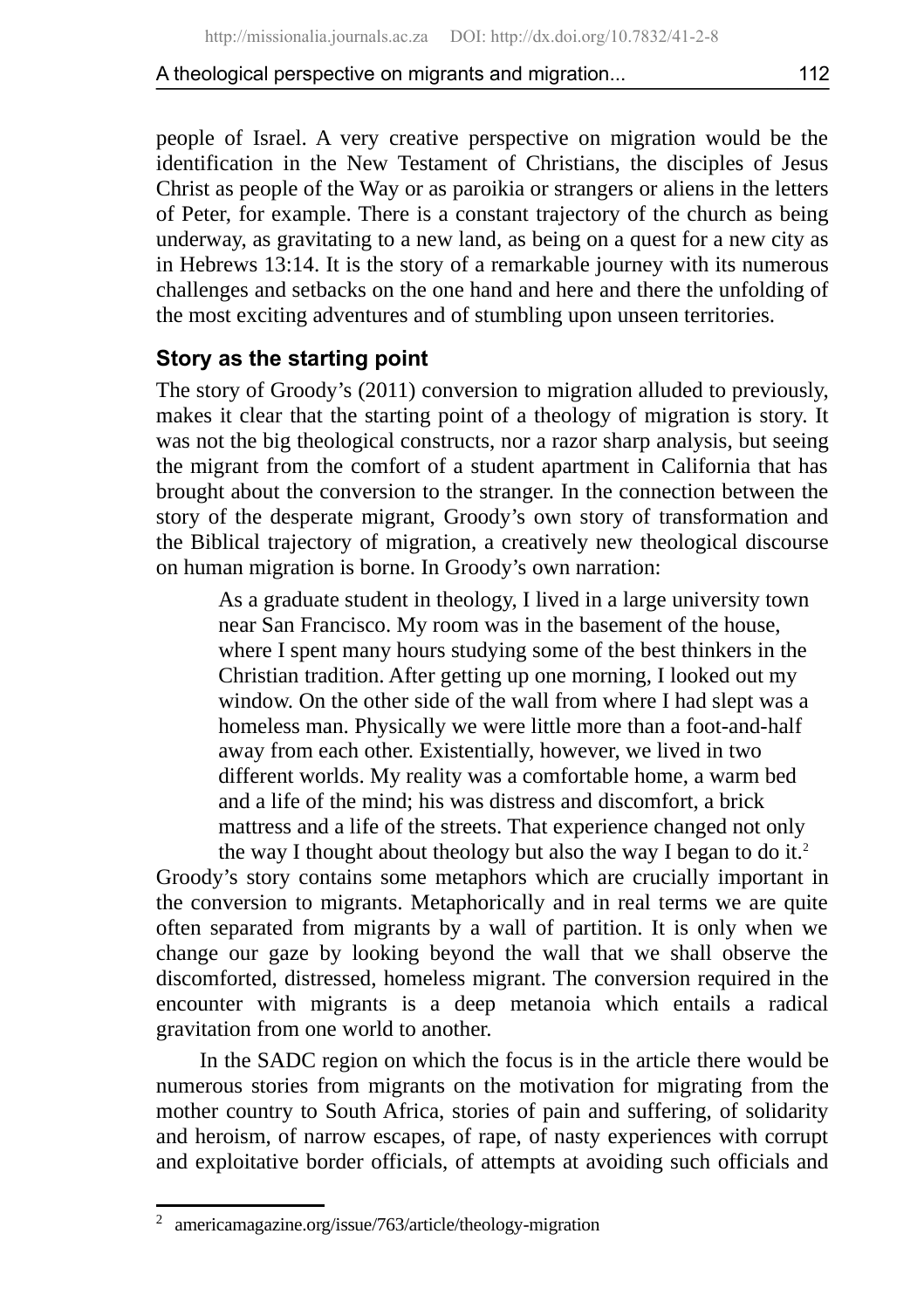people of Israel. A very creative perspective on migration would be the identification in the New Testament of Christians, the disciples of Jesus Christ as people of the Way or as paroikia or strangers or aliens in the letters of Peter, for example. There is a constant trajectory of the church as being underway, as gravitating to a new land, as being on a quest for a new city as in Hebrews 13:14. It is the story of a remarkable journey with its numerous challenges and setbacks on the one hand and here and there the unfolding of the most exciting adventures and of stumbling upon unseen territories.

# **Story as the starting point**

The story of Groody's (2011) conversion to migration alluded to previously, makes it clear that the starting point of a theology of migration is story. It was not the big theological constructs, nor a razor sharp analysis, but seeing the migrant from the comfort of a student apartment in California that has brought about the conversion to the stranger. In the connection between the story of the desperate migrant, Groody's own story of transformation and the Biblical trajectory of migration, a creatively new theological discourse on human migration is borne. In Groody's own narration:

As a graduate student in theology, I lived in a large university town near San Francisco. My room was in the basement of the house, where I spent many hours studying some of the best thinkers in the Christian tradition. After getting up one morning, I looked out my window. On the other side of the wall from where I had slept was a homeless man. Physically we were little more than a foot-and-half away from each other. Existentially, however, we lived in two different worlds. My reality was a comfortable home, a warm bed and a life of the mind; his was distress and discomfort, a brick mattress and a life of the streets. That experience changed not only the way I thought about theology but also the way I began to do it.<sup>[2](#page-8-0)</sup>

Groody's story contains some metaphors which are crucially important in the conversion to migrants. Metaphorically and in real terms we are quite often separated from migrants by a wall of partition. It is only when we change our gaze by looking beyond the wall that we shall observe the discomforted, distressed, homeless migrant. The conversion required in the encounter with migrants is a deep metanoia which entails a radical gravitation from one world to another.

In the SADC region on which the focus is in the article there would be numerous stories from migrants on the motivation for migrating from the mother country to South Africa, stories of pain and suffering, of solidarity and heroism, of narrow escapes, of rape, of nasty experiences with corrupt and exploitative border officials, of attempts at avoiding such officials and

<span id="page-8-0"></span><sup>2</sup> americamagazine.org/issue/763/article/theology-migration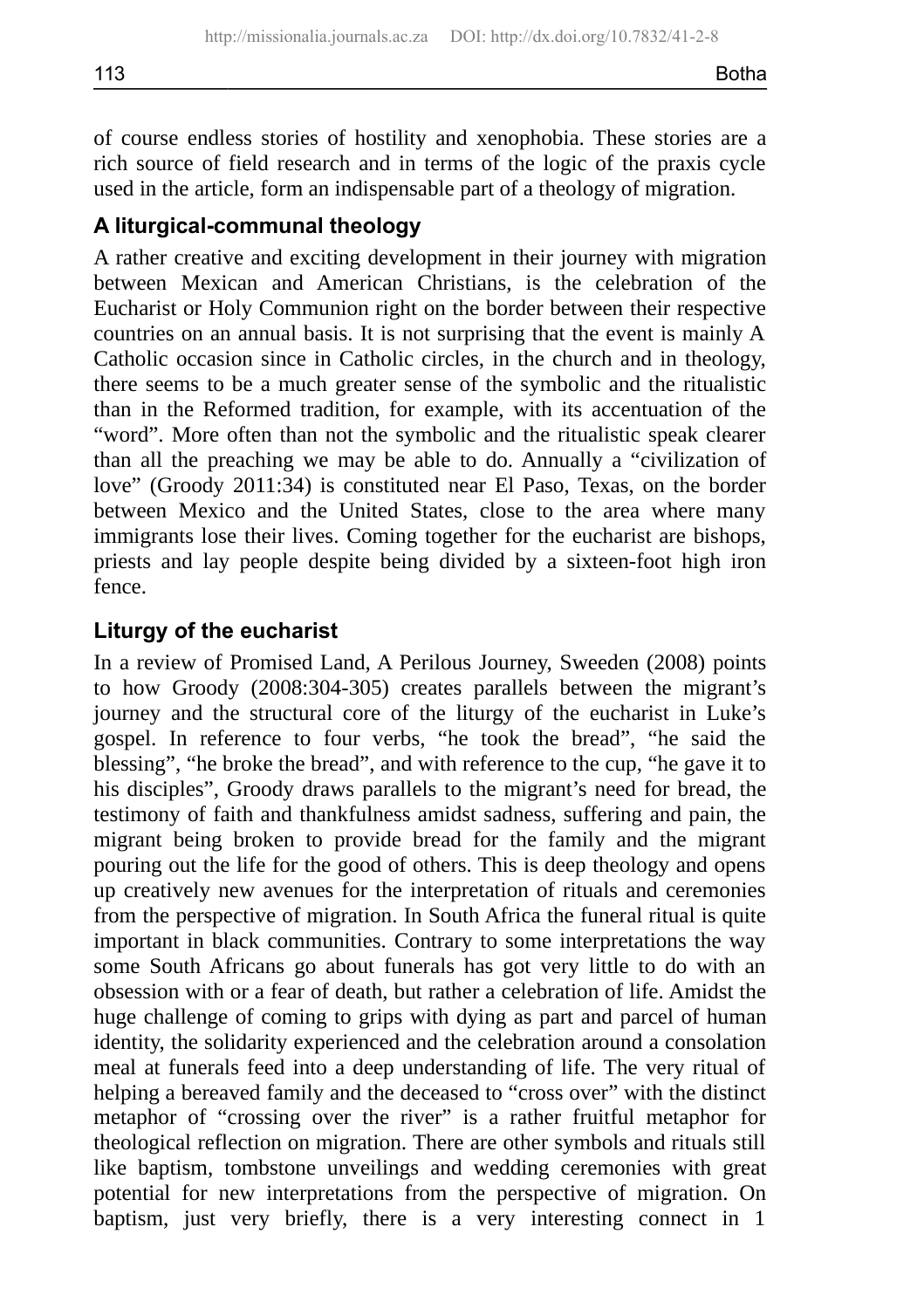of course endless stories of hostility and xenophobia. These stories are a rich source of field research and in terms of the logic of the praxis cycle used in the article, form an indispensable part of a theology of migration.

# **A liturgical-communal theology**

A rather creative and exciting development in their journey with migration between Mexican and American Christians, is the celebration of the Eucharist or Holy Communion right on the border between their respective countries on an annual basis. It is not surprising that the event is mainly A Catholic occasion since in Catholic circles, in the church and in theology, there seems to be a much greater sense of the symbolic and the ritualistic than in the Reformed tradition, for example, with its accentuation of the "word". More often than not the symbolic and the ritualistic speak clearer than all the preaching we may be able to do. Annually a "civilization of love" (Groody 2011:34) is constituted near El Paso, Texas, on the border between Mexico and the United States, close to the area where many immigrants lose their lives. Coming together for the eucharist are bishops, priests and lay people despite being divided by a sixteen-foot high iron fence.

## **Liturgy of the eucharist**

In a review of Promised Land, A Perilous Journey, Sweeden (2008) points to how Groody (2008:304-305) creates parallels between the migrant's journey and the structural core of the liturgy of the eucharist in Luke's gospel. In reference to four verbs, "he took the bread", "he said the blessing", "he broke the bread", and with reference to the cup, "he gave it to his disciples", Groody draws parallels to the migrant's need for bread, the testimony of faith and thankfulness amidst sadness, suffering and pain, the migrant being broken to provide bread for the family and the migrant pouring out the life for the good of others. This is deep theology and opens up creatively new avenues for the interpretation of rituals and ceremonies from the perspective of migration. In South Africa the funeral ritual is quite important in black communities. Contrary to some interpretations the way some South Africans go about funerals has got very little to do with an obsession with or a fear of death, but rather a celebration of life. Amidst the huge challenge of coming to grips with dying as part and parcel of human identity, the solidarity experienced and the celebration around a consolation meal at funerals feed into a deep understanding of life. The very ritual of helping a bereaved family and the deceased to "cross over" with the distinct metaphor of "crossing over the river" is a rather fruitful metaphor for theological reflection on migration. There are other symbols and rituals still like baptism, tombstone unveilings and wedding ceremonies with great potential for new interpretations from the perspective of migration. On baptism, just very briefly, there is a very interesting connect in 1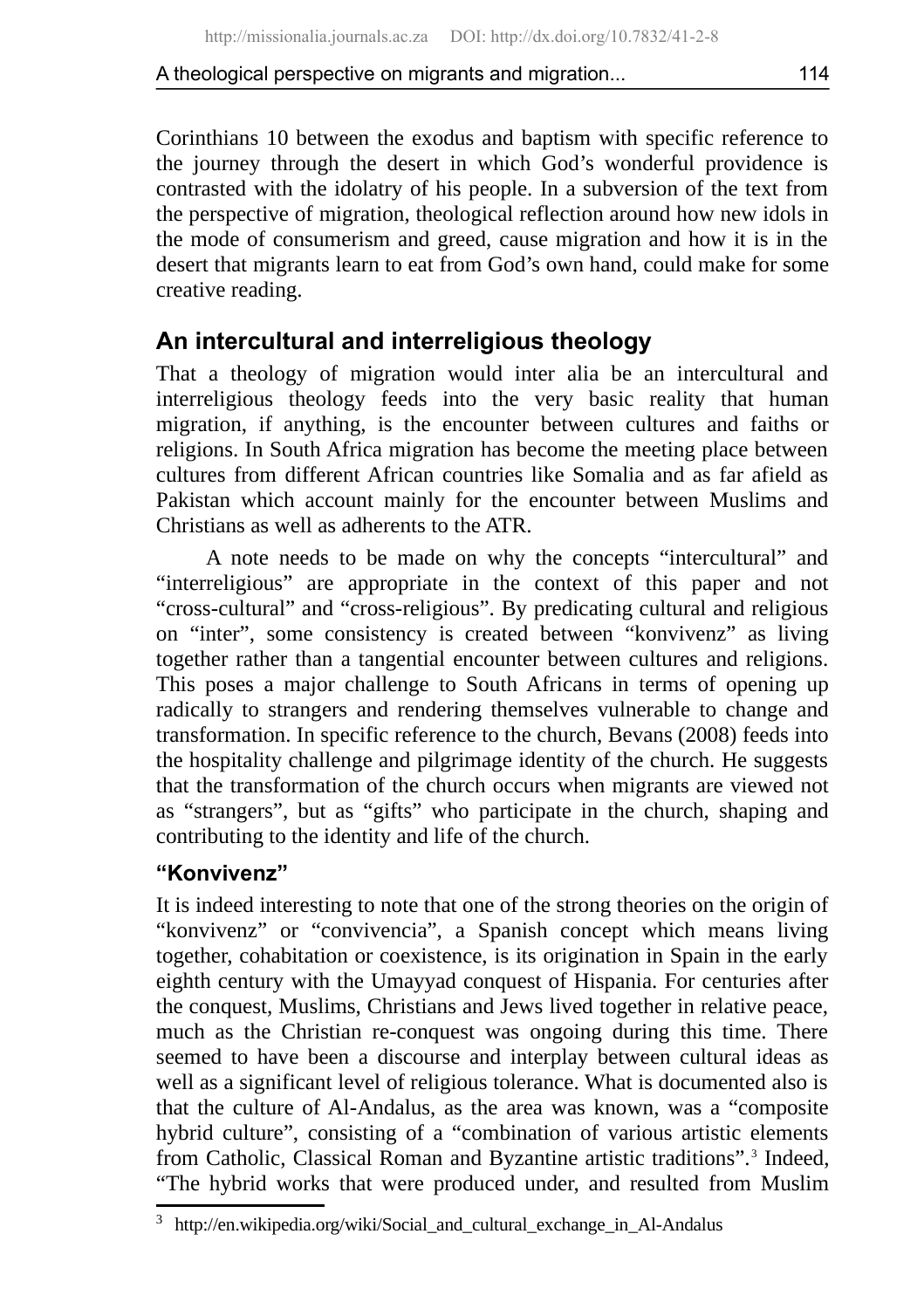Corinthians 10 between the exodus and baptism with specific reference to the journey through the desert in which God's wonderful providence is contrasted with the idolatry of his people. In a subversion of the text from the perspective of migration, theological reflection around how new idols in the mode of consumerism and greed, cause migration and how it is in the desert that migrants learn to eat from God's own hand, could make for some creative reading.

# **An intercultural and interreligious theology**

That a theology of migration would inter alia be an intercultural and interreligious theology feeds into the very basic reality that human migration, if anything, is the encounter between cultures and faiths or religions. In South Africa migration has become the meeting place between cultures from different African countries like Somalia and as far afield as Pakistan which account mainly for the encounter between Muslims and Christians as well as adherents to the ATR.

A note needs to be made on why the concepts "intercultural" and "interreligious" are appropriate in the context of this paper and not "cross-cultural" and "cross-religious". By predicating cultural and religious on "inter", some consistency is created between "konvivenz" as living together rather than a tangential encounter between cultures and religions. This poses a major challenge to South Africans in terms of opening up radically to strangers and rendering themselves vulnerable to change and transformation. In specific reference to the church, Bevans (2008) feeds into the hospitality challenge and pilgrimage identity of the church. He suggests that the transformation of the church occurs when migrants are viewed not as "strangers", but as "gifts" who participate in the church, shaping and contributing to the identity and life of the church.

## **"Konvivenz"**

It is indeed interesting to note that one of the strong theories on the origin of "konvivenz" or "convivencia", a Spanish concept which means living together, cohabitation or coexistence, is its origination in Spain in the early eighth century with the Umayyad conquest of Hispania. For centuries after the conquest, Muslims, Christians and Jews lived together in relative peace, much as the Christian re-conquest was ongoing during this time. There seemed to have been a discourse and interplay between cultural ideas as well as a significant level of religious tolerance. What is documented also is that the culture of Al-Andalus, as the area was known, was a "composite hybrid culture", consisting of a "combination of various artistic elements from Catholic, Classical Roman and Byzantine artistic traditions".<sup>[3](#page-10-0)</sup> Indeed, "The hybrid works that were produced under, and resulted from Muslim

<span id="page-10-0"></span> $3$  http://en.wikipedia.org/wiki/Social and cultural exchange in Al-Andalus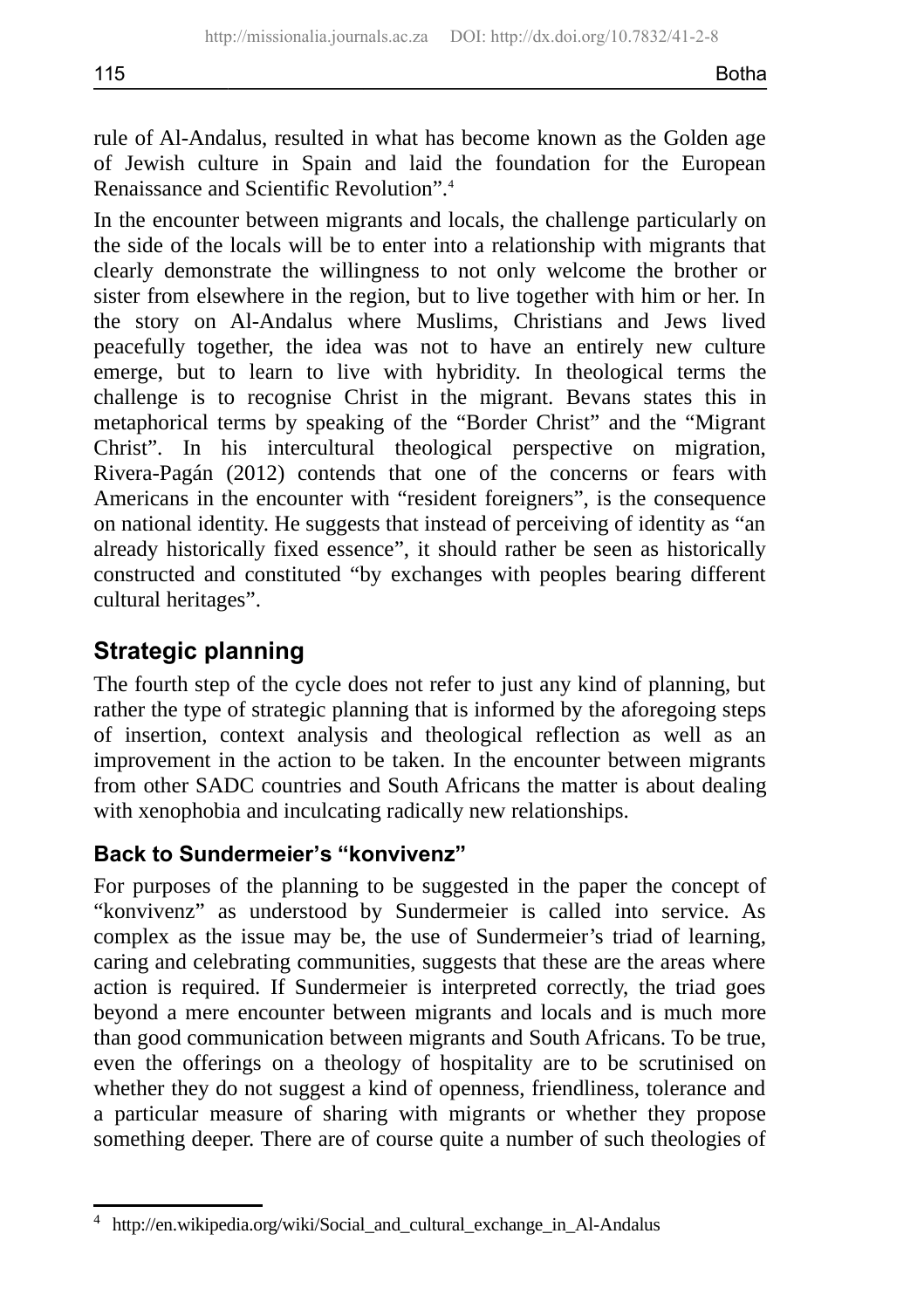rule of Al-Andalus, resulted in what has become known as the Golden age of Jewish culture in Spain and laid the foundation for the European Renaissance and Scientific Revolution".[4](#page-11-0)

In the encounter between migrants and locals, the challenge particularly on the side of the locals will be to enter into a relationship with migrants that clearly demonstrate the willingness to not only welcome the brother or sister from elsewhere in the region, but to live together with him or her. In the story on Al-Andalus where Muslims, Christians and Jews lived peacefully together, the idea was not to have an entirely new culture emerge, but to learn to live with hybridity. In theological terms the challenge is to recognise Christ in the migrant. Bevans states this in metaphorical terms by speaking of the "Border Christ" and the "Migrant Christ". In his intercultural theological perspective on migration, Rivera-Pagán (2012) contends that one of the concerns or fears with Americans in the encounter with "resident foreigners", is the consequence on national identity. He suggests that instead of perceiving of identity as "an already historically fixed essence", it should rather be seen as historically constructed and constituted "by exchanges with peoples bearing different cultural heritages".

# **Strategic planning**

The fourth step of the cycle does not refer to just any kind of planning, but rather the type of strategic planning that is informed by the aforegoing steps of insertion, context analysis and theological reflection as well as an improvement in the action to be taken. In the encounter between migrants from other SADC countries and South Africans the matter is about dealing with xenophobia and inculcating radically new relationships.

# **Back to Sundermeier's "konvivenz"**

For purposes of the planning to be suggested in the paper the concept of "konvivenz" as understood by Sundermeier is called into service. As complex as the issue may be, the use of Sundermeier's triad of learning, caring and celebrating communities, suggests that these are the areas where action is required. If Sundermeier is interpreted correctly, the triad goes beyond a mere encounter between migrants and locals and is much more than good communication between migrants and South Africans. To be true, even the offerings on a theology of hospitality are to be scrutinised on whether they do not suggest a kind of openness, friendliness, tolerance and a particular measure of sharing with migrants or whether they propose something deeper. There are of course quite a number of such theologies of

<span id="page-11-0"></span><sup>4</sup> http://en.wikipedia.org/wiki/Social\_and\_cultural\_exchange\_in\_Al-Andalus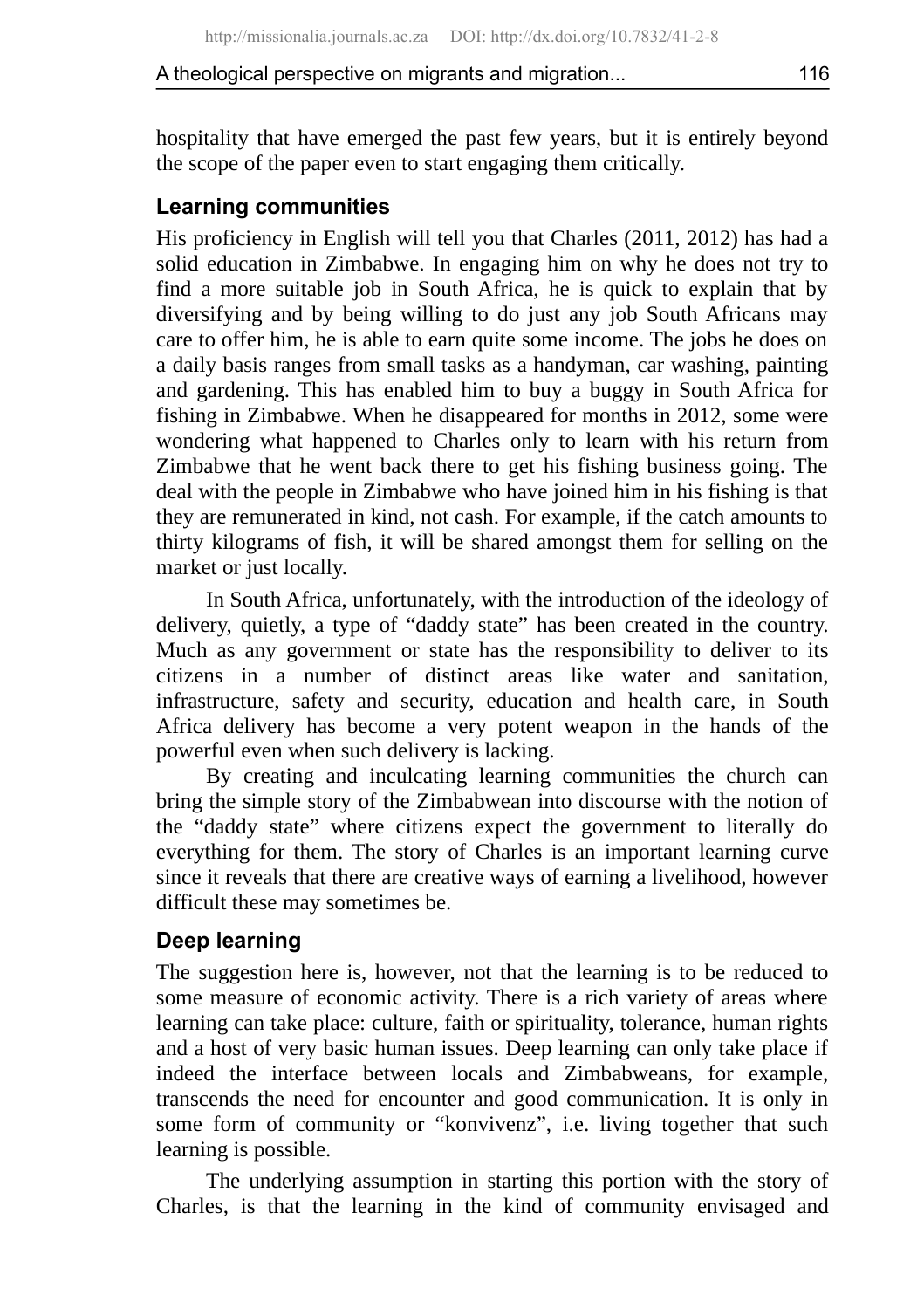hospitality that have emerged the past few years, but it is entirely beyond the scope of the paper even to start engaging them critically.

#### **Learning communities**

His proficiency in English will tell you that Charles (2011, 2012) has had a solid education in Zimbabwe. In engaging him on why he does not try to find a more suitable job in South Africa, he is quick to explain that by diversifying and by being willing to do just any job South Africans may care to offer him, he is able to earn quite some income. The jobs he does on a daily basis ranges from small tasks as a handyman, car washing, painting and gardening. This has enabled him to buy a buggy in South Africa for fishing in Zimbabwe. When he disappeared for months in 2012, some were wondering what happened to Charles only to learn with his return from Zimbabwe that he went back there to get his fishing business going. The deal with the people in Zimbabwe who have joined him in his fishing is that they are remunerated in kind, not cash. For example, if the catch amounts to thirty kilograms of fish, it will be shared amongst them for selling on the market or just locally.

In South Africa, unfortunately, with the introduction of the ideology of delivery, quietly, a type of "daddy state" has been created in the country. Much as any government or state has the responsibility to deliver to its citizens in a number of distinct areas like water and sanitation, infrastructure, safety and security, education and health care, in South Africa delivery has become a very potent weapon in the hands of the powerful even when such delivery is lacking.

By creating and inculcating learning communities the church can bring the simple story of the Zimbabwean into discourse with the notion of the "daddy state" where citizens expect the government to literally do everything for them. The story of Charles is an important learning curve since it reveals that there are creative ways of earning a livelihood, however difficult these may sometimes be.

#### **Deep learning**

The suggestion here is, however, not that the learning is to be reduced to some measure of economic activity. There is a rich variety of areas where learning can take place: culture, faith or spirituality, tolerance, human rights and a host of very basic human issues. Deep learning can only take place if indeed the interface between locals and Zimbabweans, for example, transcends the need for encounter and good communication. It is only in some form of community or "konvivenz", i.e. living together that such learning is possible.

The underlying assumption in starting this portion with the story of Charles, is that the learning in the kind of community envisaged and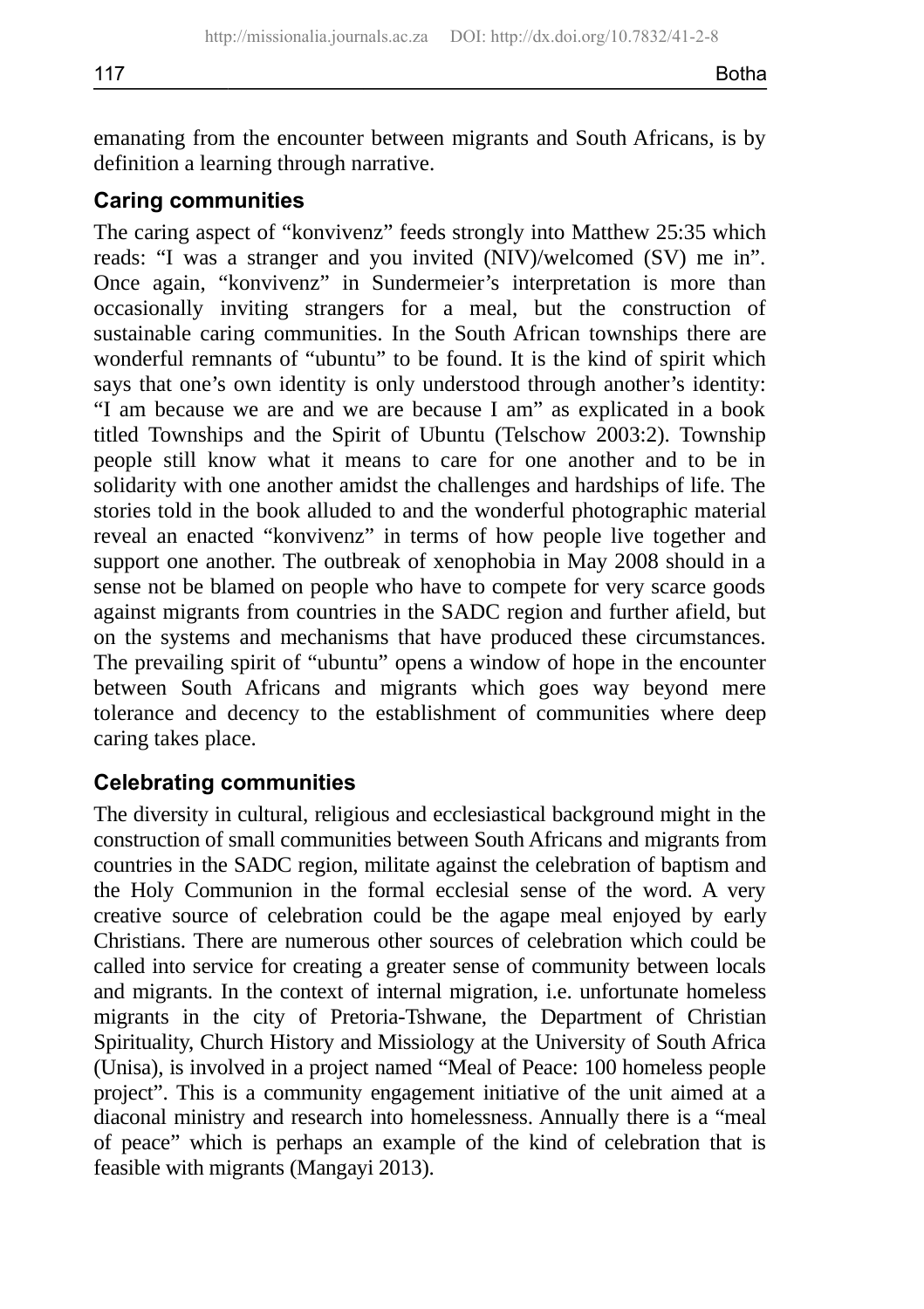emanating from the encounter between migrants and South Africans, is by definition a learning through narrative.

### **Caring communities**

The caring aspect of "konvivenz" feeds strongly into Matthew 25:35 which reads: "I was a stranger and you invited (NIV)/welcomed (SV) me in". Once again, "konvivenz" in Sundermeier's interpretation is more than occasionally inviting strangers for a meal, but the construction of sustainable caring communities. In the South African townships there are wonderful remnants of "ubuntu" to be found. It is the kind of spirit which says that one's own identity is only understood through another's identity: "I am because we are and we are because I am" as explicated in a book titled Townships and the Spirit of Ubuntu (Telschow 2003:2). Township people still know what it means to care for one another and to be in solidarity with one another amidst the challenges and hardships of life. The stories told in the book alluded to and the wonderful photographic material reveal an enacted "konvivenz" in terms of how people live together and support one another. The outbreak of xenophobia in May 2008 should in a sense not be blamed on people who have to compete for very scarce goods against migrants from countries in the SADC region and further afield, but on the systems and mechanisms that have produced these circumstances. The prevailing spirit of "ubuntu" opens a window of hope in the encounter between South Africans and migrants which goes way beyond mere tolerance and decency to the establishment of communities where deep caring takes place.

## **Celebrating communities**

The diversity in cultural, religious and ecclesiastical background might in the construction of small communities between South Africans and migrants from countries in the SADC region, militate against the celebration of baptism and the Holy Communion in the formal ecclesial sense of the word. A very creative source of celebration could be the agape meal enjoyed by early Christians. There are numerous other sources of celebration which could be called into service for creating a greater sense of community between locals and migrants. In the context of internal migration, i.e. unfortunate homeless migrants in the city of Pretoria-Tshwane, the Department of Christian Spirituality, Church History and Missiology at the University of South Africa (Unisa), is involved in a project named "Meal of Peace: 100 homeless people project". This is a community engagement initiative of the unit aimed at a diaconal ministry and research into homelessness. Annually there is a "meal of peace" which is perhaps an example of the kind of celebration that is feasible with migrants (Mangayi 2013).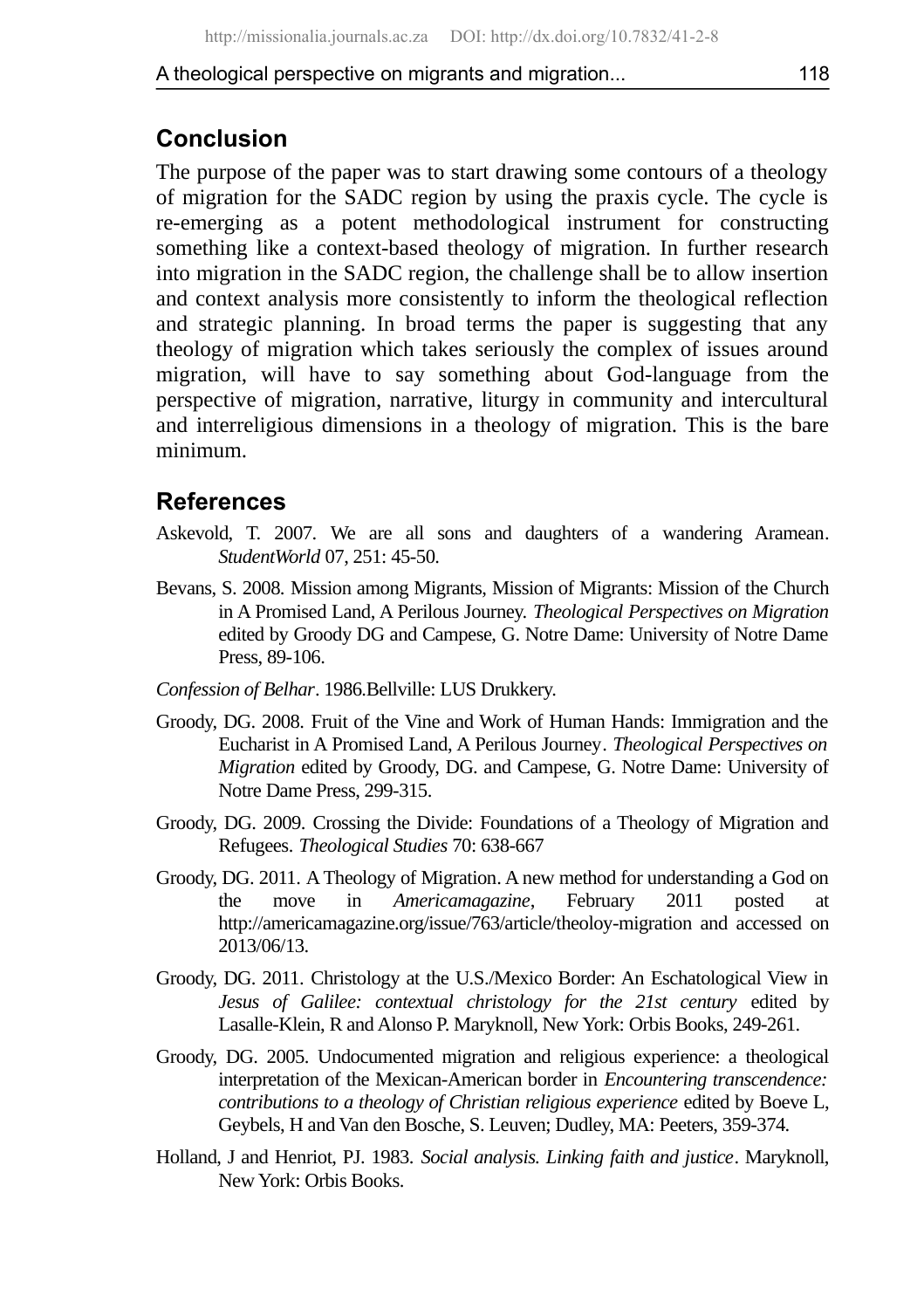# **Conclusion**

The purpose of the paper was to start drawing some contours of a theology of migration for the SADC region by using the praxis cycle. The cycle is re-emerging as a potent methodological instrument for constructing something like a context-based theology of migration. In further research into migration in the SADC region, the challenge shall be to allow insertion and context analysis more consistently to inform the theological reflection and strategic planning. In broad terms the paper is suggesting that any theology of migration which takes seriously the complex of issues around migration, will have to say something about God-language from the perspective of migration, narrative, liturgy in community and intercultural and interreligious dimensions in a theology of migration. This is the bare minimum.

## **References**

- Askevold, T. 2007. We are all sons and daughters of a wandering Aramean. *StudentWorld* 07, 251: 45-50.
- Bevans, S. 2008. Mission among Migrants, Mission of Migrants: Mission of the Church in A Promised Land, A Perilous Journey. *Theological Perspectives on Migration* edited by Groody DG and Campese, G. Notre Dame: University of Notre Dame Press, 89-106.
- *Confession of Belhar*. 1986.Bellville: LUS Drukkery.
- Groody, DG. 2008. Fruit of the Vine and Work of Human Hands: Immigration and the Eucharist in A Promised Land, A Perilous Journey. *Theological Perspectives on Migration* edited by Groody, DG. and Campese, G. Notre Dame: University of Notre Dame Press, 299-315.
- Groody, DG. 2009. Crossing the Divide: Foundations of a Theology of Migration and Refugees*. Theological Studies* 70: 638-667
- Groody, DG. 2011. A Theology of Migration. A new method for understanding a God on the move in *Americamagazine*, February 2011 posted at http://americamagazine.org/issue/763/article/theoloy-migration and accessed on 2013/06/13.
- Groody, DG. 2011. Christology at the U.S./Mexico Border: An Eschatological View in *Jesus of Galilee: contextual christology for the 21st century* edited by Lasalle-Klein, R and Alonso P. Maryknoll, New York: Orbis Books, 249-261.
- Groody, DG. 2005. Undocumented migration and religious experience: a theological interpretation of the Mexican-American border in *Encountering transcendence: contributions to a theology of Christian religious experience* edited by Boeve L, Geybels, H and Van den Bosche, S. Leuven; Dudley, MA: Peeters, 359-374.
- Holland, J and Henriot, PJ. 1983. *Social analysis. Linking faith and justice*. Maryknoll, New York: Orbis Books.